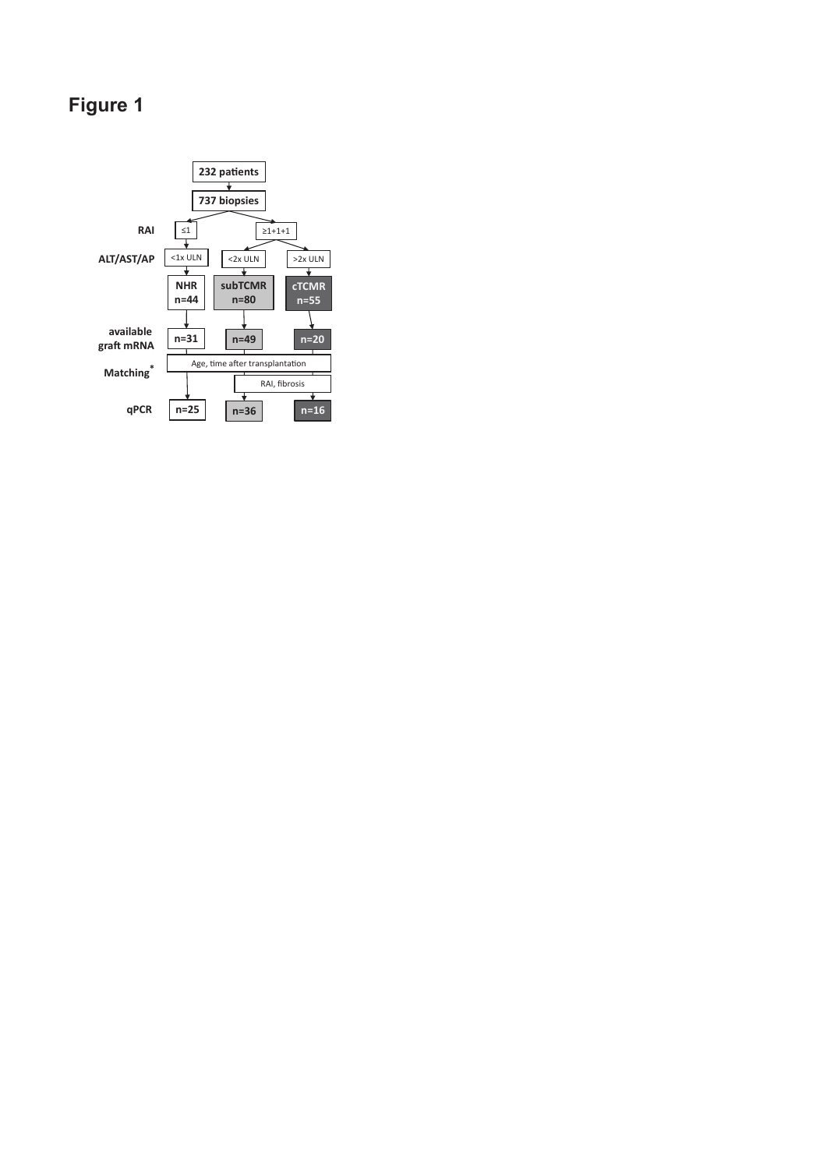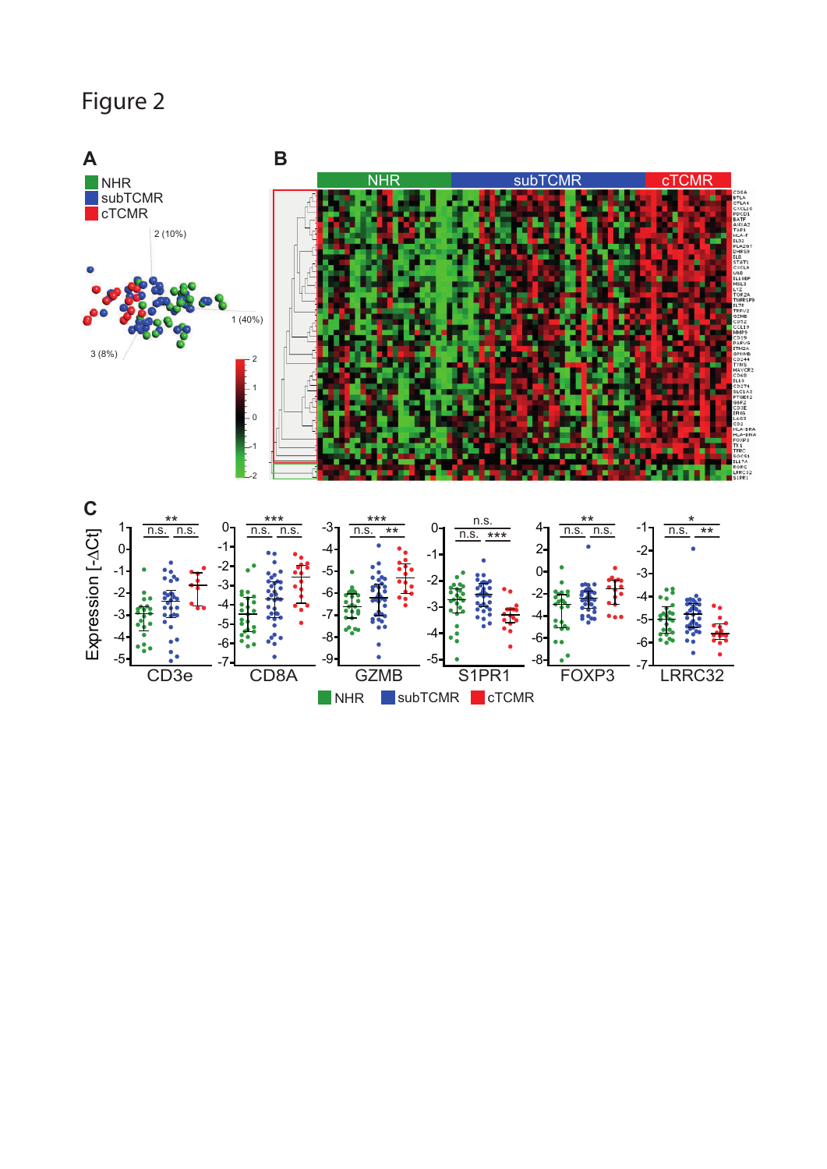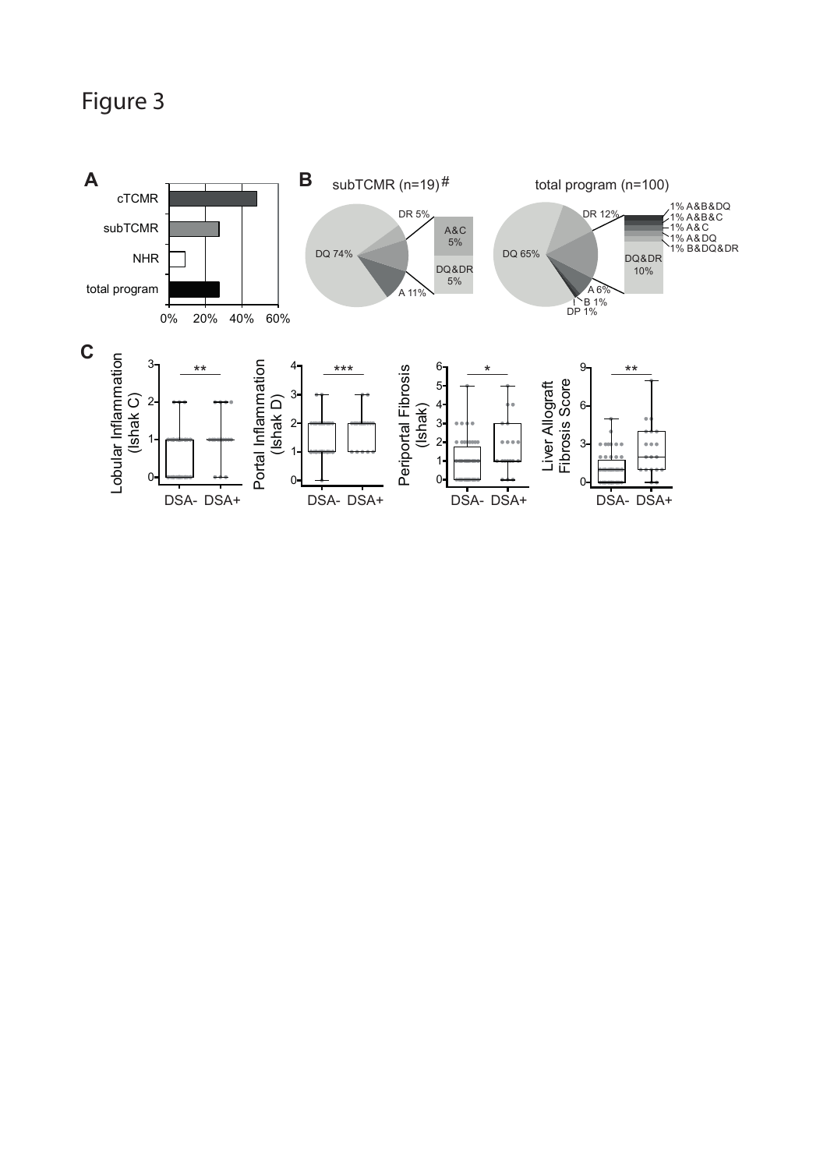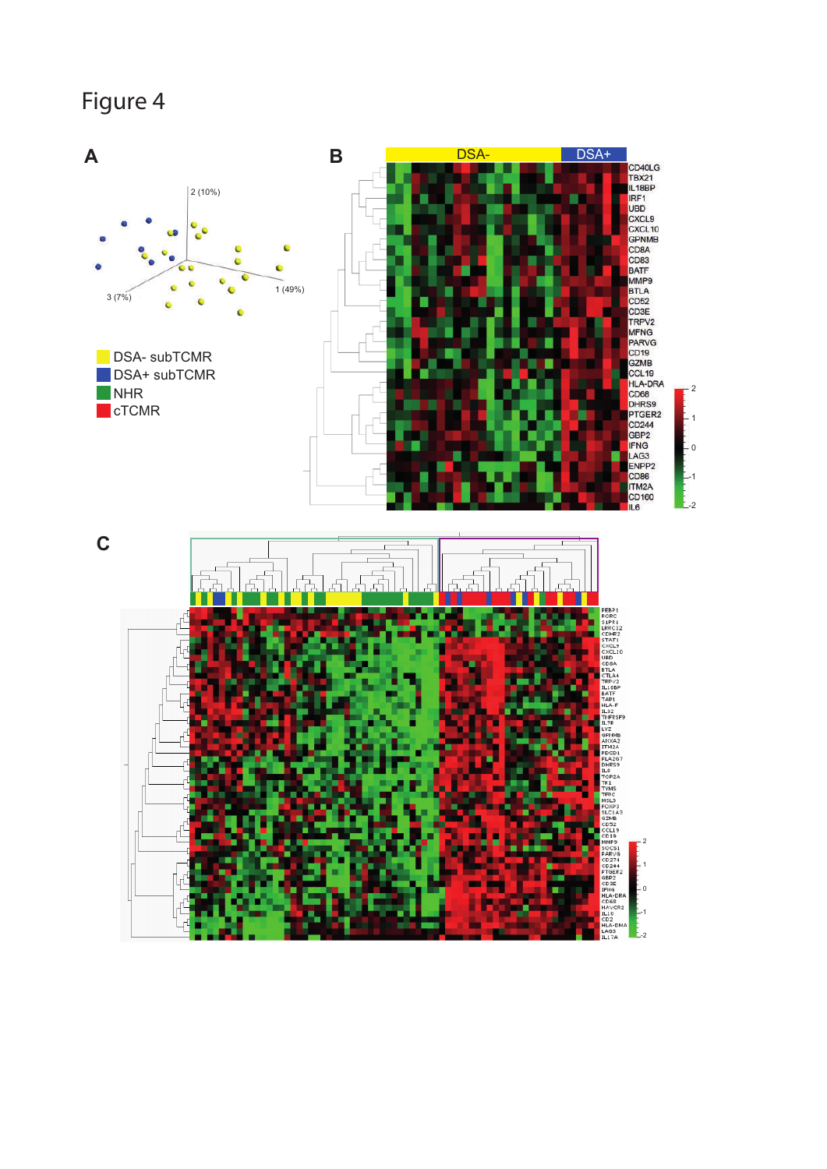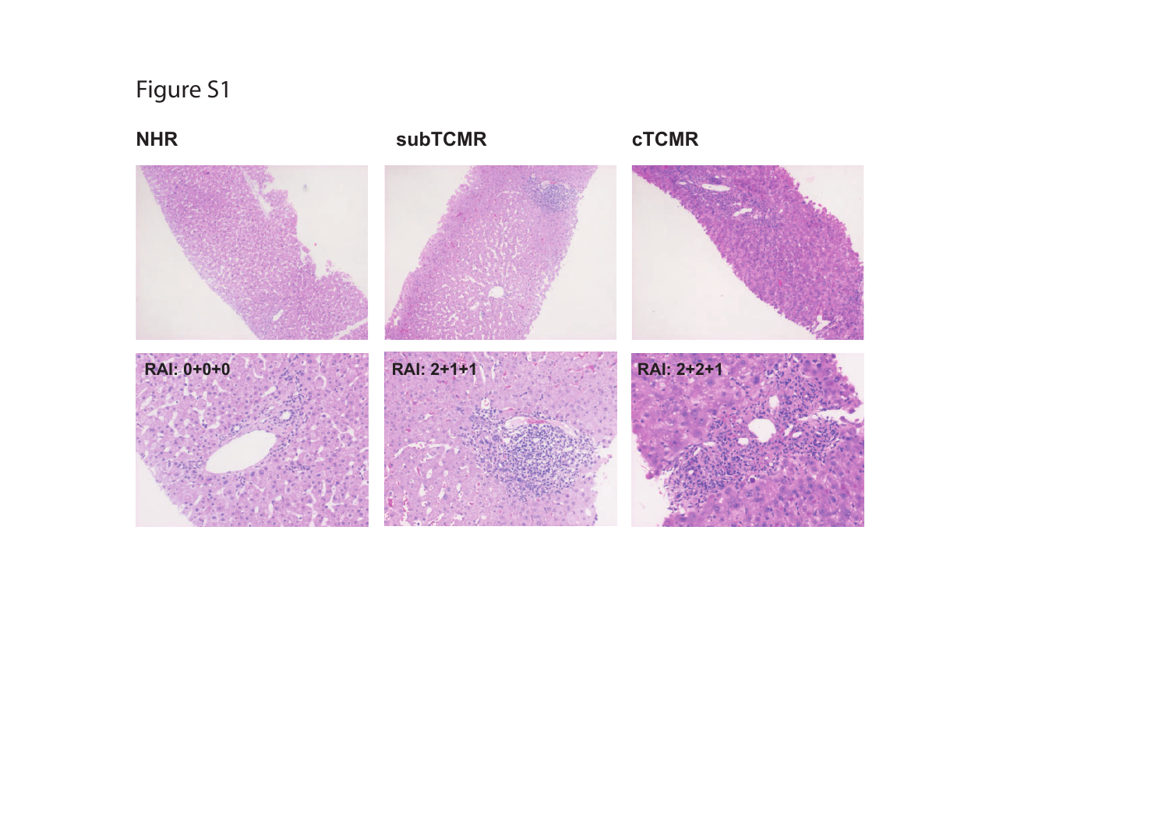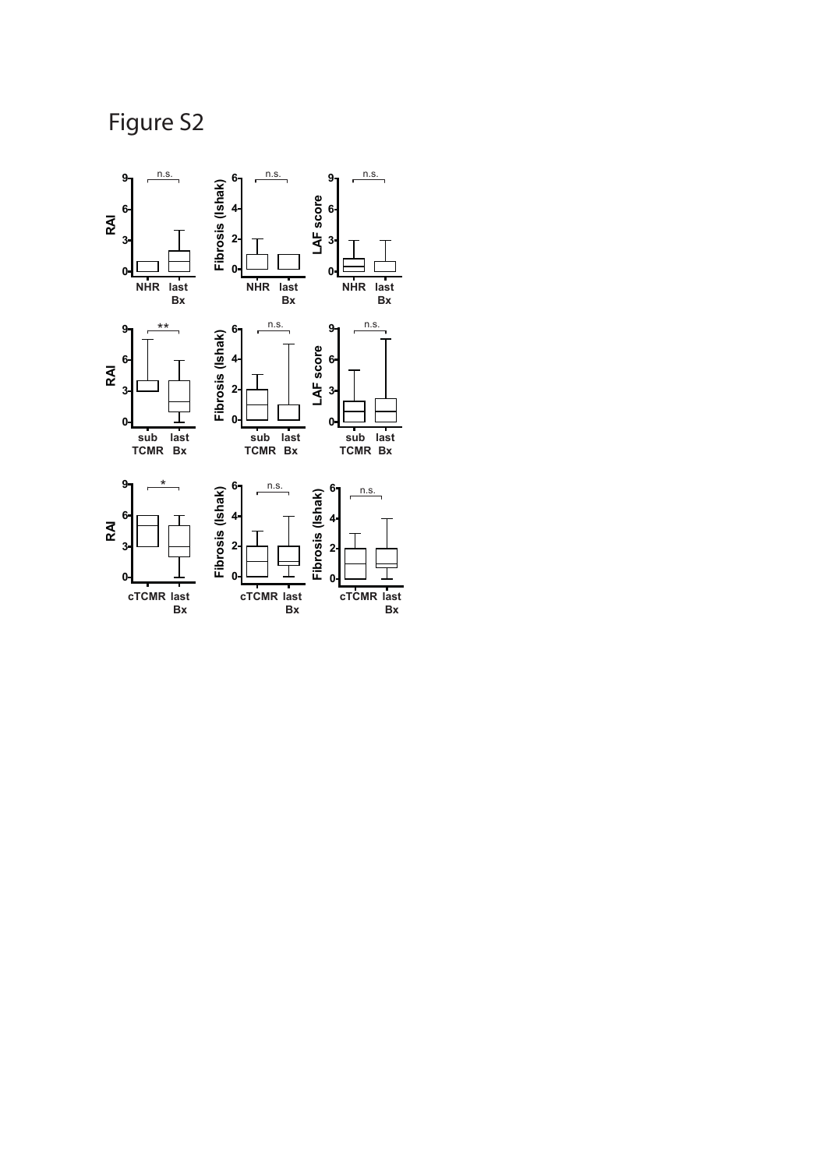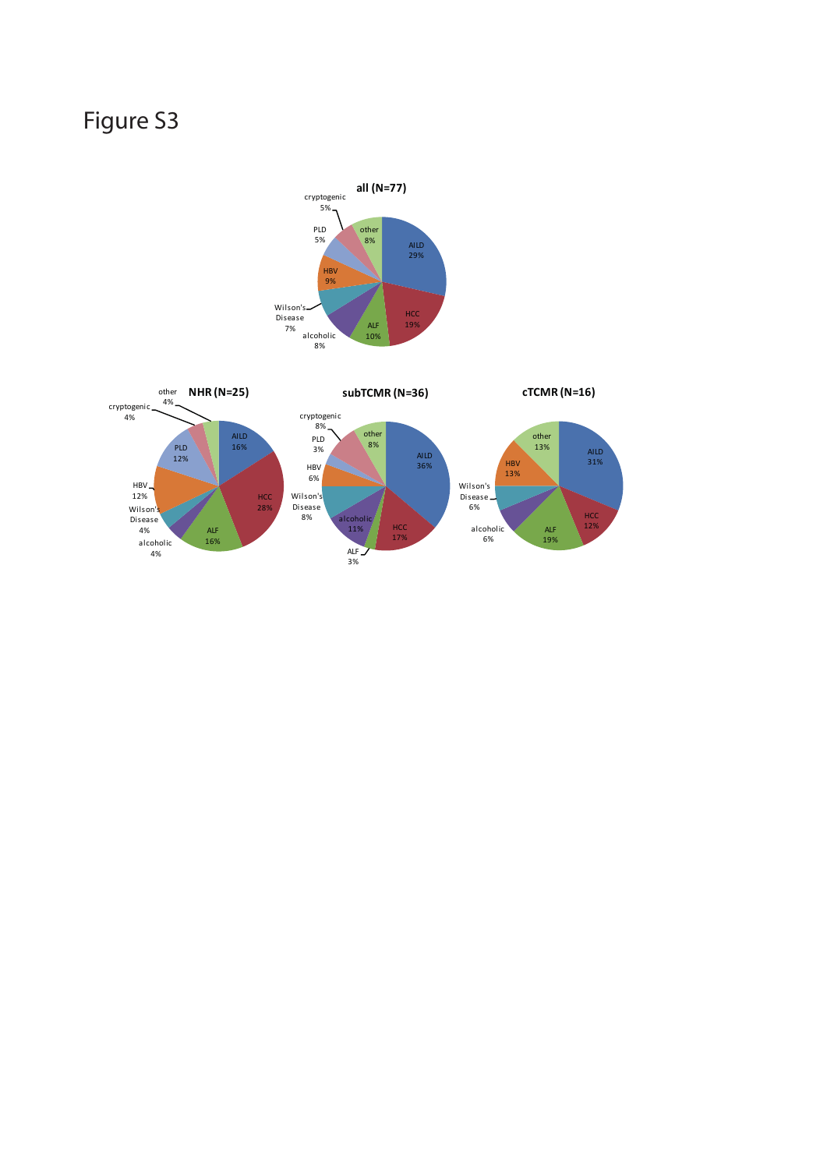